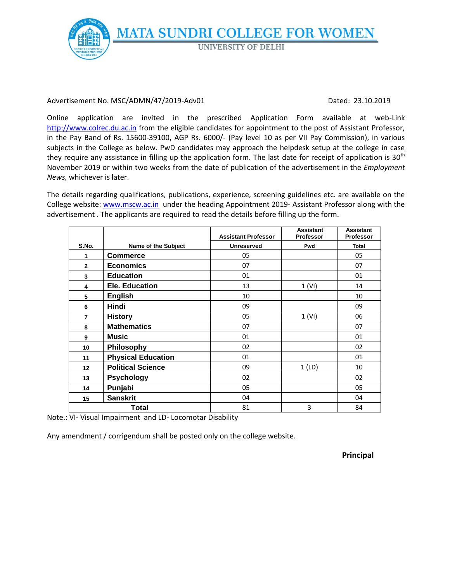**MATA SUNDRI COLLEGE FOR WOMEN UNIVERSITY OF DELHI** 

#### Advertisement No. MSC/ADMN/47/2019-Adv01 Dated: 23.10.2019

Online application are invited in the prescribed Application Form available at web-Link [http://www.colrec.du.ac.in](http://www.colrec.du.ac.in/) from the eligible candidates for appointment to the post of Assistant Professor, in the Pay Band of Rs. 15600-39100, AGP Rs. 6000/- (Pay level 10 as per VII Pay Commission), in various subjects in the College as below. PwD candidates may approach the helpdesk setup at the college in case they require any assistance in filling up the application form. The last date for receipt of application is  $30<sup>th</sup>$ November 2019 or within two weeks from the date of publication of the advertisement in the *Employment News,* whichever is later.

The details regarding qualifications, publications, experience, screening guidelines etc. are available on the College website: [www.mscw.ac.in](http://www.mscw.ac.in/) under the heading Appointment 2019- Assistant Professor along with the advertisement . The applicants are required to read the details before filling up the form.

|                |                           | <b>Assistant Professor</b> | <b>Assistant</b><br><b>Professor</b> | <b>Assistant</b><br><b>Professor</b> |
|----------------|---------------------------|----------------------------|--------------------------------------|--------------------------------------|
| S.No.          | Name of the Subject       | <b>Unreserved</b>          | Pwd                                  | <b>Total</b>                         |
| 1              | <b>Commerce</b>           | 05                         |                                      | 05                                   |
| $\mathbf{2}$   | <b>Economics</b>          | 07                         |                                      | 07                                   |
| 3              | <b>Education</b>          | 01                         |                                      | 01                                   |
| 4              | Ele. Education            | 13                         | 1 (VI)                               | 14                                   |
| 5              | <b>English</b>            | 10                         |                                      | 10                                   |
| 6              | Hindi                     | 09                         |                                      | 09                                   |
| $\overline{7}$ | <b>History</b>            | 05                         | 1 (VI)                               | 06                                   |
| 8              | <b>Mathematics</b>        | 07                         |                                      | 07                                   |
| 9              | Music                     | 01                         |                                      | 01                                   |
| 10             | Philosophy                | 02                         |                                      | 02                                   |
| 11             | <b>Physical Education</b> | 01                         |                                      | 01                                   |
| 12             | <b>Political Science</b>  | 09                         | 1(LD)                                | 10                                   |
| 13             | <b>Psychology</b>         | 02                         |                                      | 02                                   |
| 14             | Punjabi                   | 05                         |                                      | 05                                   |
| 15             | <b>Sanskrit</b>           | 04                         |                                      | 04                                   |
| Total          |                           | 81                         | 3                                    | 84                                   |

Note.: VI- Visual Impairment and LD- Locomotar Disability

Any amendment / corrigendum shall be posted only on the college website.

**Principal**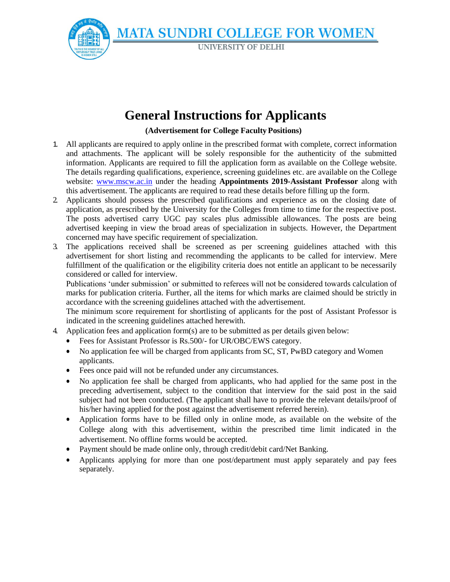**MATA SUNDRI COLLEGE FOR WOMEN** 

**UNIVERSITY OF DELHI** 

# **General Instructions for Applicants**

#### **(Advertisement for College Faculty Positions)**

- 1. All applicants are required to apply online in the prescribed format with complete, correct information and attachments. The applicant will be solely responsible for the authenticity of the submitted information. Applicants are required to fill the application form as available on the College website. The details regarding qualifications, experience, screening guidelines etc. are available on the College website: [www.mscw.ac.in](http://www.mscw.ac.in/) under the heading **Appointments 2019-Assistant Professor** along with this advertisement. The applicants are required to read these details before filling up the form.
- 2. Applicants should possess the prescribed qualifications and experience as on the closing date of application, as prescribed by the University for the Colleges from time to time for the respective post. The posts advertised carry UGC pay scales plus admissible allowances. The posts are being advertised keeping in view the broad areas of specialization in subjects. However, the Department concerned may have specific requirement of specialization.
- 3. The applications received shall be screened as per screening guidelines attached with this advertisement for short listing and recommending the applicants to be called for interview. Mere fulfillment of the qualification or the eligibility criteria does not entitle an applicant to be necessarily considered or called for interview.

Publications 'under submission' or submitted to referees will not be considered towards calculation of marks for publication criteria. Further, all the items for which marks are claimed should be strictly in accordance with the screening guidelines attached with the advertisement.

The minimum score requirement for shortlisting of applicants for the post of Assistant Professor is indicated in the screening guidelines attached herewith.

- 4. Application fees and application form(s) are to be submitted as per details given below:
	- Fees for Assistant Professor is Rs.500/- for UR/OBC/EWS category.
	- No application fee will be charged from applicants from SC, ST, PwBD category and Women applicants.
	- Fees once paid will not be refunded under any circumstances.
	- No application fee shall be charged from applicants, who had applied for the same post in the preceding advertisement, subject to the condition that interview for the said post in the said subject had not been conducted. (The applicant shall have to provide the relevant details/proof of his/her having applied for the post against the advertisement referred herein).
	- Application forms have to be filled only in online mode, as available on the website of the College along with this advertisement, within the prescribed time limit indicated in the advertisement. No offline forms would be accepted.
	- Payment should be made online only, through credit/debit card/Net Banking.
	- Applicants applying for more than one post/department must apply separately and pay fees separately.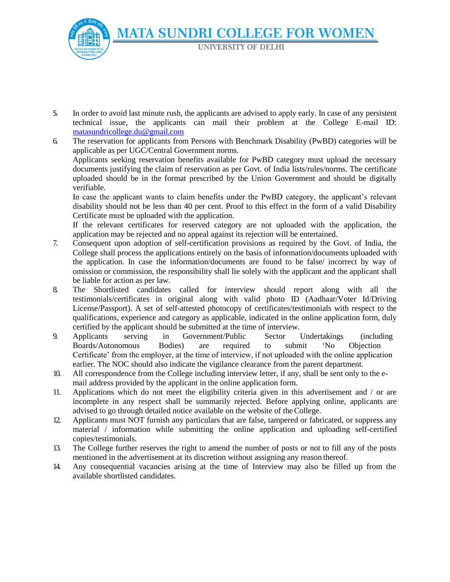**MATA SUNDRI COLLEGE FOR WOMEN UNIVERSITY OF DELHI** 

5. In order to avoid last minute rush, the applicants are advised to apply early. In case of any persistent technical issue, the applicants can mail their problem at the College E-mail ID[:](mailto:%20matasundricollege.du@gmail.com) [matasundricollege.du@gmail.com](mailto:%20matasundricollege.du@gmail.com)

6. The reservation for applicants from Persons with Benchmark Disability (PwBD) categories will be applicable as per UGC/Central Government norms. Applicants seeking reservation benefits available for PwBD category must upload the necessary documents justifying the claim of reservation as per Govt. of India lists/rules/norms. The certificate uploaded should be in the format prescribed by the Union Government and should be digitally verifiable.

In case the applicant wants to claim benefits under the PwBD category, the applicant's relevant disability should not be less than 40 per cent. Proof to this effect in the form of a valid Disability Certificate must be uploaded with the application.

If the relevant certificates for reserved category are not uploaded with the application, the application may be rejected and no appeal against its rejection will be entertained.

- 7. Consequent upon adoption of self-certification provisions as required by the Govt. of India, the College shall process the applications entirely on the basis of information/documents uploaded with the application. In case the information/documents are found to be false/ incorrect by way of omission or commission, the responsibility shall lie solely with the applicant and the applicant shall be liable for action as per law.
- 8. The Shortlisted candidates called for interview should report along with all the testimonials/certificates in original along with valid photo ID (Aadhaar/Voter Id/Driving License/Passport). A set of self-attested photocopy of certificates/testimonials with respect to the qualifications, experience and category as applicable, indicated in the online application form, duly certified by the applicant should be submitted at the time of interview.
- 9. Applicants serving in Government/Public Sector Undertakings (including Boards/Autonomous Bodies) are required to submit 'No Objection Certificate' from the employer, at the time of interview, if not uploaded with the online application earlier. The NOC should also indicate the vigilance clearance from the parent department.
- 10. All correspondence from the College including interview letter, if any, shall be sent only to the email address provided by the applicant in the online application form.
- 11. Applications which do not meet the eligibility criteria given in this advertisement and / or are incomplete in any respect shall be summarily rejected. Before applying online, applicants are advised to go through detailed notice available on the website of theCollege.
- 12. Applicants must NOT furnish any particulars that are false, tampered or fabricated, or suppress any material / information while submitting the online application and uploading self-certified copies/testimonials.
- 13. The College further reserves the right to amend the number of posts or not to fill any of the posts mentioned in the advertisement at its discretion without assigning any reason thereof.
- 14. Any consequential vacancies arising at the time of Interview may also be filled up from the available shortlisted candidates.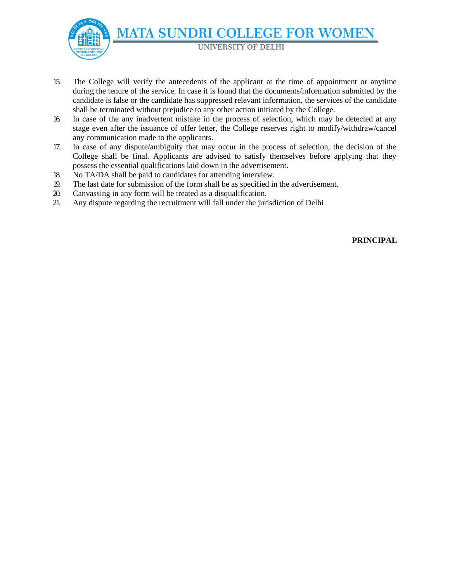**MATA SUNDRI COLLEGE FOR WOMEN** 

**UNIVERSITY OF DELHI** 

- 15. The College will verify the antecedents of the applicant at the time of appointment or anytime during the tenure of the service. In case it is found that the documents/information submitted by the candidate is false or the candidate has suppressed relevant information, the services of the candidate shall be terminated without prejudice to any other action initiated by the College.
- 16. In case of the any inadvertent mistake in the process of selection, which may be detected at any stage even after the issuance of offer letter, the College reserves right to modify/withdraw/cancel any communication made to the applicants.
- 17. In case of any dispute/ambiguity that may occur in the process of selection, the decision of the College shall be final. Applicants are advised to satisfy themselves before applying that they possess the essential qualifications laid down in the advertisement.
- 18. No TA/DA shall be paid to candidates for attending interview.
- 19. The last date for submission of the form shall be as specified in the advertisement.
- 20. Canvassing in any form will be treated as a disqualification.
- 21. Any dispute regarding the recruitment will fall under the jurisdiction of Delhi

**PRINCIPAL**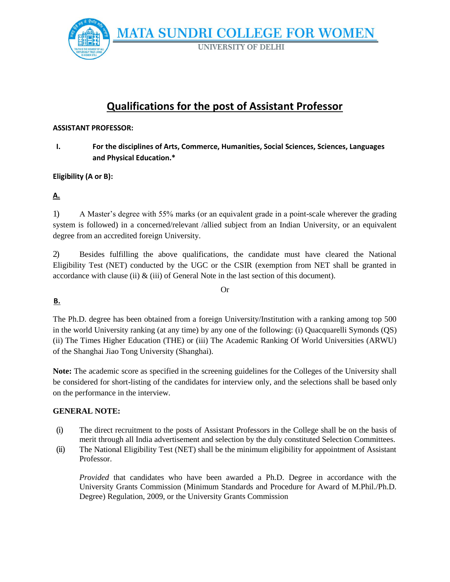

# **Qualifications for the post of Assistant Professor**

#### **ASSISTANT PROFESSOR:**

**I. For the disciplines of Arts, Commerce, Humanities, Social Sciences, Sciences, Languages and Physical Education.\***

### **Eligibility (A or B):**

# **A.**

1) A Master's degree with 55% marks (or an equivalent grade in a point-scale wherever the grading system is followed) in a concerned/relevant /allied subject from an Indian University, or an equivalent degree from an accredited foreign University.

2) Besides fulfilling the above qualifications, the candidate must have cleared the National Eligibility Test (NET) conducted by the UGC or the CSIR (exemption from NET shall be granted in accordance with clause (ii)  $\&$  (iii) of General Note in the last section of this document).

Or

# **B.**

The Ph.D. degree has been obtained from a foreign University/Institution with a ranking among top 500 in the world University ranking (at any time) by any one of the following: (i) Quacquarelli Symonds (QS) (ii) The Times Higher Education (THE) or (iii) The Academic Ranking Of World Universities (ARWU) of the Shanghai Jiao Tong University (Shanghai).

**Note:** The academic score as specified in the screening guidelines for the Colleges of the University shall be considered for short-listing of the candidates for interview only, and the selections shall be based only on the performance in the interview*.*

#### **GENERAL NOTE:**

- (i) The direct recruitment to the posts of Assistant Professors in the College shall be on the basis of merit through all India advertisement and selection by the duly constituted Selection Committees.
- (ii) The National Eligibility Test (NET) shall be the minimum eligibility for appointment of Assistant Professor.

*Provided* that candidates who have been awarded a Ph.D. Degree in accordance with the University Grants Commission (Minimum Standards and Procedure for Award of M.Phil./Ph.D. Degree) Regulation, 2009, or the University Grants Commission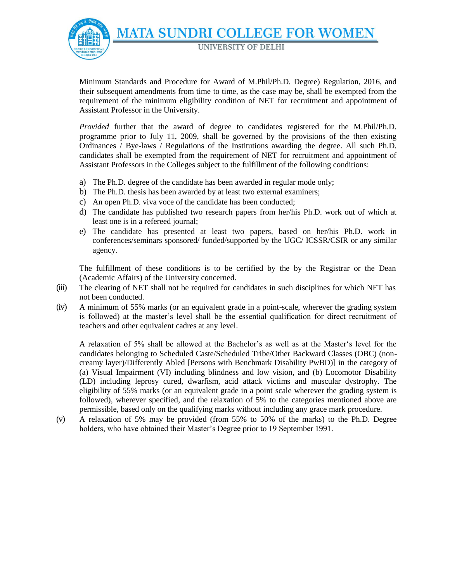**MATA SUNDRI COLLEGE FOR WOMEN UNIVERSITY OF DELHI** 

Minimum Standards and Procedure for Award of M.Phil/Ph.D. Degree) Regulation, 2016, and their subsequent amendments from time to time, as the case may be, shall be exempted from the requirement of the minimum eligibility condition of NET for recruitment and appointment of Assistant Professor in the University.

*Provided* further that the award of degree to candidates registered for the M.Phil/Ph.D. programme prior to July 11, 2009, shall be governed by the provisions of the then existing Ordinances / Bye-laws / Regulations of the Institutions awarding the degree. All such Ph.D. candidates shall be exempted from the requirement of NET for recruitment and appointment of Assistant Professors in the Colleges subject to the fulfillment of the following conditions:

- a) The Ph.D. degree of the candidate has been awarded in regular mode only;
- b) The Ph.D. thesis has been awarded by at least two external examiners;
- c) An open Ph.D. viva voce of the candidate has been conducted;
- d) The candidate has published two research papers from her/his Ph.D. work out of which at least one is in a refereed journal;
- e) The candidate has presented at least two papers, based on her/his Ph.D. work in conferences/seminars sponsored/ funded/supported by the UGC/ ICSSR/CSIR or any similar agency.

The fulfillment of these conditions is to be certified by the by the Registrar or the Dean (Academic Affairs) of the University concerned.

- (iii) The clearing of NET shall not be required for candidates in such disciplines for which NET has not been conducted.
- (iv) A minimum of 55% marks (or an equivalent grade in a point-scale, wherever the grading system is followed) at the master's level shall be the essential qualification for direct recruitment of teachers and other equivalent cadres at any level.

A relaxation of 5% shall be allowed at the Bachelor's as well as at the Master's level for the candidates belonging to Scheduled Caste/Scheduled Tribe/Other Backward Classes (OBC) (noncreamy layer)/Differently Abled [Persons with Benchmark Disability PwBD)] in the category of (a) Visual Impairment (VI) including blindness and low vision, and (b) Locomotor Disability (LD) including leprosy cured, dwarfism, acid attack victims and muscular dystrophy. The eligibility of 55% marks (or an equivalent grade in a point scale wherever the grading system is followed), wherever specified, and the relaxation of 5% to the categories mentioned above are permissible, based only on the qualifying marks without including any grace mark procedure.

(v) A relaxation of 5% may be provided (from 55% to 50% of the marks) to the Ph.D. Degree holders, who have obtained their Master's Degree prior to 19 September 1991.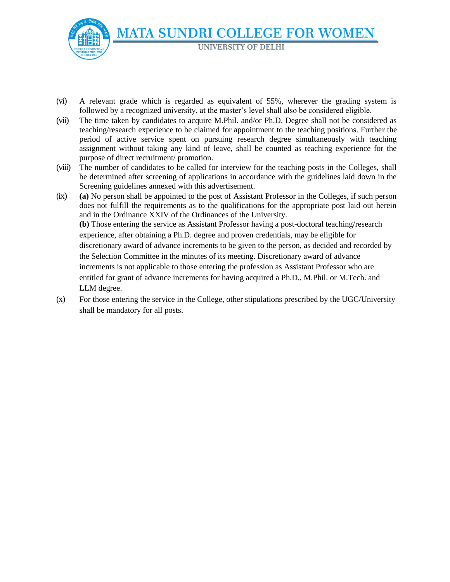

- (vi) A relevant grade which is regarded as equivalent of 55%, wherever the grading system is followed by a recognized university, at the master's level shall also be considered eligible.
- (vii) The time taken by candidates to acquire M.Phil. and/or Ph.D. Degree shall not be considered as teaching/research experience to be claimed for appointment to the teaching positions. Further the period of active service spent on pursuing research degree simultaneously with teaching assignment without taking any kind of leave, shall be counted as teaching experience for the purpose of direct recruitment/ promotion.
- (viii) The number of candidates to be called for interview for the teaching posts in the Colleges, shall be determined after screening of applications in accordance with the guidelines laid down in the Screening guidelines annexed with this advertisement.
- (ix) **(a)** No person shall be appointed to the post of Assistant Professor in the Colleges, if such person does not fulfill the requirements as to the qualifications for the appropriate post laid out herein and in the Ordinance XXIV of the Ordinances of the University. **(b)** Those entering the service as Assistant Professor having a post-doctoral teaching/research experience, after obtaining a Ph.D. degree and proven credentials, may be eligible for discretionary award of advance increments to be given to the person, as decided and recorded by the Selection Committee in the minutes of its meeting. Discretionary award of advance increments is not applicable to those entering the profession as Assistant Professor who are entitled for grant of advance increments for having acquired a Ph.D., M.Phil. or M.Tech. and LLM degree.
- (x) For those entering the service in the College, other stipulations prescribed by the UGC/University shall be mandatory for all posts.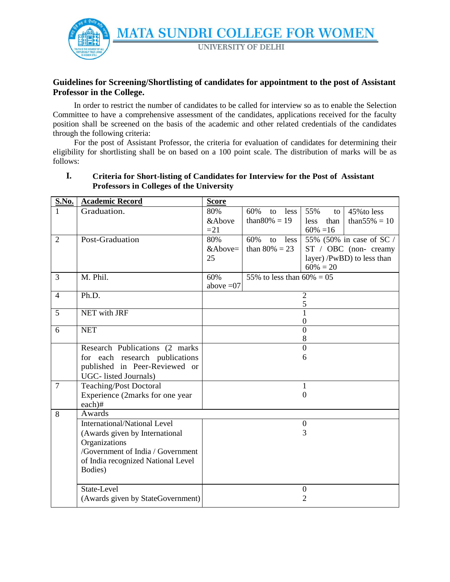

# **Guidelines for Screening/Shortlisting of candidates for appointment to the post of Assistant Professor in the College.**

In order to restrict the number of candidates to be called for interview so as to enable the Selection Committee to have a comprehensive assessment of the candidates, applications received for the faculty position shall be screened on the basis of the academic and other related credentials of the candidates through the following criteria:

For the post of Assistant Professor, the criteria for evaluation of candidates for determining their eligibility for shortlisting shall be on based on a 100 point scale. The distribution of marks will be as follows:

| <b>S.No.</b>   | <b>Academic Record</b>              | <b>Score</b>                                         |                              |                                  |                            |
|----------------|-------------------------------------|------------------------------------------------------|------------------------------|----------------------------------|----------------------------|
|                | Graduation.                         | 80%                                                  | 60%<br>less  <br>to          | 55%<br>to                        | 45% to less                |
|                |                                     | &Above                                               | than $80\% = 19$             | than<br>less                     | than $55\% = 10$           |
|                |                                     | $=21$                                                |                              | $60\% = 16$                      |                            |
| $\overline{2}$ | Post-Graduation                     | 80%<br>60%<br>to<br>55% (50% in case of SC /<br>less |                              |                                  |                            |
|                |                                     | &Above=                                              | than $80\% = 23$             |                                  | ST / OBC (non-creamy       |
|                |                                     | 25                                                   |                              |                                  | layer) /PwBD) to less than |
|                |                                     |                                                      |                              | $60\% = 20$                      |                            |
| 3              | M. Phil.                            | 60%                                                  | 55% to less than $60\% = 05$ |                                  |                            |
|                |                                     | above $=07$                                          |                              |                                  |                            |
| $\overline{4}$ | Ph.D.                               |                                                      |                              | $\mathbf{2}$                     |                            |
|                |                                     |                                                      |                              | 5                                |                            |
| $\overline{5}$ | <b>NET</b> with JRF                 |                                                      |                              | $\mathbf{1}$<br>$\boldsymbol{0}$ |                            |
| 6              | <b>NET</b>                          |                                                      |                              | $\overline{0}$                   |                            |
|                |                                     |                                                      |                              | 8                                |                            |
|                | Research Publications (2 marks      |                                                      |                              | $\theta$                         |                            |
|                | for each research publications      |                                                      |                              | 6                                |                            |
|                | published in Peer-Reviewed or       |                                                      |                              |                                  |                            |
|                | UGC- listed Journals)               |                                                      |                              |                                  |                            |
| $\overline{7}$ | <b>Teaching/Post Doctoral</b>       |                                                      |                              | $\mathbf{1}$                     |                            |
|                | Experience (2marks for one year     |                                                      |                              | $\theta$                         |                            |
|                | each)#                              |                                                      |                              |                                  |                            |
| 8              | Awards                              |                                                      |                              |                                  |                            |
|                | <b>International/National Level</b> |                                                      |                              | $\boldsymbol{0}$                 |                            |
|                | (Awards given by International      |                                                      |                              | 3                                |                            |
|                | Organizations                       |                                                      |                              |                                  |                            |
|                | /Government of India / Government   |                                                      |                              |                                  |                            |
|                | of India recognized National Level  |                                                      |                              |                                  |                            |
|                | Bodies)                             |                                                      |                              |                                  |                            |
|                |                                     |                                                      |                              |                                  |                            |
|                | State-Level                         |                                                      |                              | $\boldsymbol{0}$                 |                            |
|                | (Awards given by StateGovernment)   |                                                      |                              | 2                                |                            |

# **I. Criteria for Short-listing of Candidates for Interview for the Post of Assistant Professors in Colleges of the University**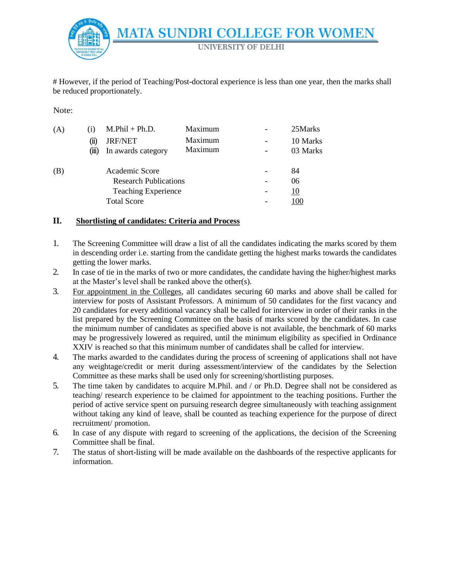

# However, if the period of Teaching/Post-doctoral experience is less than one year, then the marks shall be reduced proportionately.

Note:

| (A)                          | $\left(1\right)$ | $M.Phil + Ph.D.$   | Maximum | 25Marks   |
|------------------------------|------------------|--------------------|---------|-----------|
|                              | (11)             | <b>JRF/NET</b>     | Maximum | 10 Marks  |
|                              | (m)              | In awards category | Maximum | 03 Marks  |
| (B)                          |                  | Academic Score     |         | 84        |
| <b>Research Publications</b> |                  |                    |         | 06        |
| <b>Teaching Experience</b>   |                  |                    |         | <u>10</u> |
| <b>Total Score</b>           |                  |                    |         |           |

#### **II. Shortlisting of candidates: Criteria and Process**

- 1. The Screening Committee will draw a list of all the candidates indicating the marks scored by them in descending order i.e. starting from the candidate getting the highest marks towards the candidates getting the lower marks.
- 2. In case of tie in the marks of two or more candidates, the candidate having the higher/highest marks at the Master's level shall be ranked above the other(s).
- 3. For appointment in the Colleges, all candidates securing 60 marks and above shall be called for interview for posts of Assistant Professors. A minimum of 50 candidates for the first vacancy and 20 candidates for every additional vacancy shall be called for interview in order of their ranks in the list prepared by the Screening Committee on the basis of marks scored by the candidates. In case the minimum number of candidates as specified above is not available, the benchmark of 60 marks may be progressively lowered as required, until the minimum eligibility as specified in Ordinance XXIV is reached so that this minimum number of candidates shall be called for interview.
- 4. The marks awarded to the candidates during the process of screening of applications shall not have any weightage/credit or merit during assessment/interview of the candidates by the Selection Committee as these marks shall be used only for screening/shortlisting purposes.
- 5. The time taken by candidates to acquire M.Phil. and / or Ph.D. Degree shall not be considered as teaching/ research experience to be claimed for appointment to the teaching positions. Further the period of active service spent on pursuing research degree simultaneously with teaching assignment without taking any kind of leave, shall be counted as teaching experience for the purpose of direct recruitment/ promotion.
- 6. In case of any dispute with regard to screening of the applications, the decision of the Screening Committee shall be final.
- 7. The status of short-listing will be made available on the dashboards of the respective applicants for information.